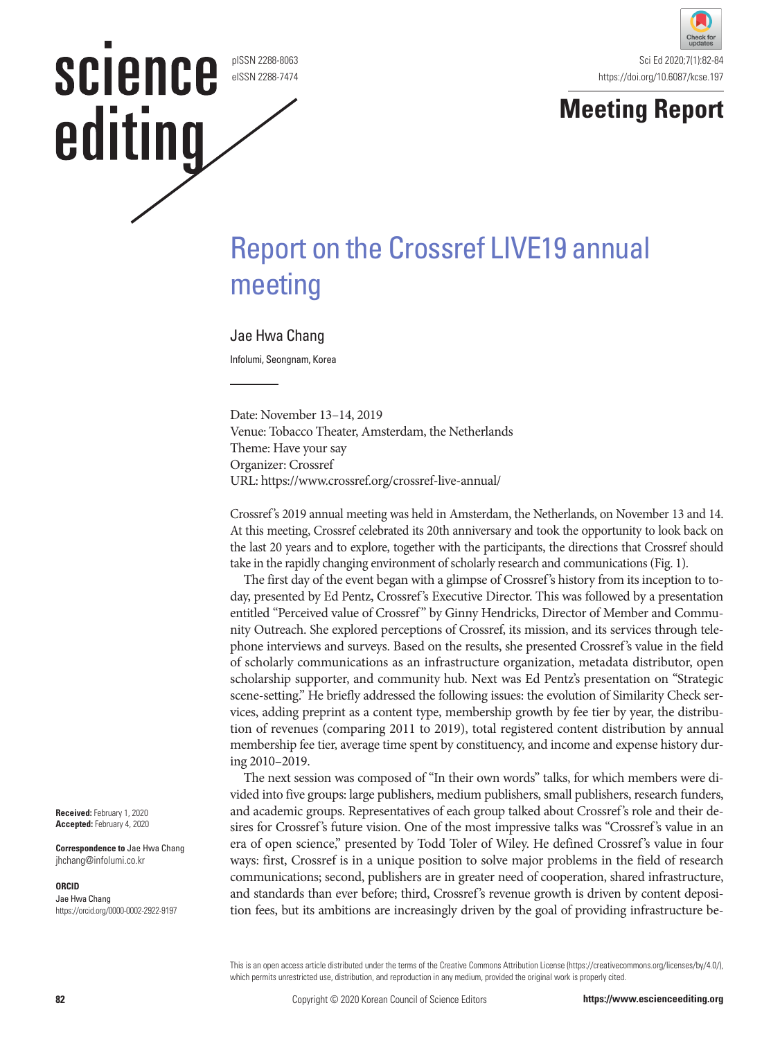#### pISSN 2288-8063 eISSN 2288-7474

science

editing





# Report on the Crossref LIVE19 annual meeting

# Jae Hwa Chang

Infolumi, Seongnam, Korea

Date: November 13–14, 2019 Venue: Tobacco Theater, Amsterdam, the Netherlands Theme: Have your say Organizer: Crossref URL: https://www.crossref.org/crossref-live-annual/

Crossref's 2019 annual meeting was held in Amsterdam, the Netherlands, on November 13 and 14. At this meeting, Crossref celebrated its 20th anniversary and took the opportunity to look back on the last 20 years and to explore, together with the participants, the directions that Crossref should take in the rapidly changing environment of scholarly research and communications (Fig. 1).

The first day of the event began with a glimpse of Crossref's history from its inception to today, presented by Ed Pentz, Crossref's Executive Director. This was followed by a presentation entitled "Perceived value of Crossref" by Ginny Hendricks, Director of Member and Community Outreach. She explored perceptions of Crossref, its mission, and its services through telephone interviews and surveys. Based on the results, she presented Crossref's value in the field of scholarly communications as an infrastructure organization, metadata distributor, open scholarship supporter, and community hub. Next was Ed Pentz's presentation on "Strategic scene-setting." He briefly addressed the following issues: the evolution of Similarity Check services, adding preprint as a content type, membership growth by fee tier by year, the distribution of revenues (comparing 2011 to 2019), total registered content distribution by annual membership fee tier, average time spent by constituency, and income and expense history during 2010–2019.

The next session was composed of "In their own words" talks, for which members were divided into five groups: large publishers, medium publishers, small publishers, research funders, and academic groups. Representatives of each group talked about Crossref's role and their desires for Crossref's future vision. One of the most impressive talks was "Crossref's value in an era of open science," presented by Todd Toler of Wiley. He defined Crossref's value in four ways: first, Crossref is in a unique position to solve major problems in the field of research communications; second, publishers are in greater need of cooperation, shared infrastructure, and standards than ever before; third, Crossref's revenue growth is driven by content deposition fees, but its ambitions are increasingly driven by the goal of providing infrastructure be-

This is an open access article distributed under the terms of the Creative Commons Attribution License (https://creativecommons.org/licenses/by/4.0/), which permits unrestricted use, distribution, and reproduction in any medium, provided the original work is properly cited.

**Received:** February 1, 2020 **Accepted:** February 4, 2020

**Correspondence to** Jae Hwa Chang jhchang@infolumi.co.kr

#### **ORCID**

Jae Hwa Chang https://orcid.org/0000-0002-2922-9197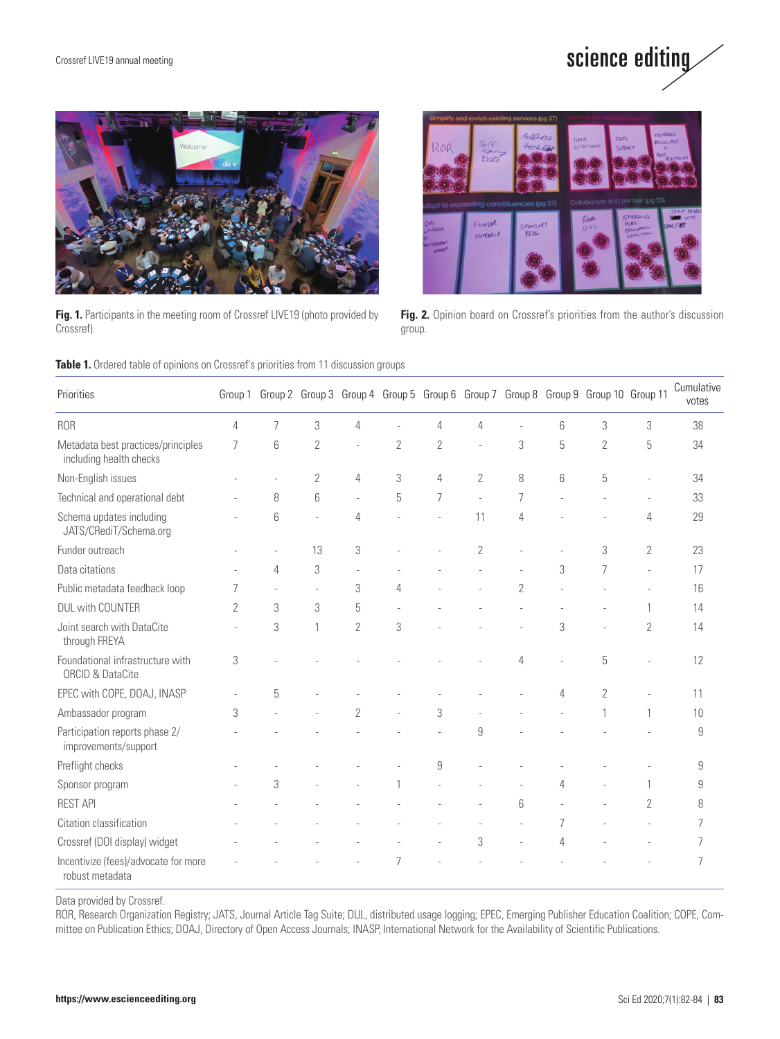



**Fig. 1.** Participants in the meeting room of Crossref LIVE19 (photo provided by Crossref).



**Fig. 2.** Opinion board on Crossref's priorities from the author's discussion group.

|  |  |  | Table 1. Ordered table of opinions on Crossref's priorities from 11 discussion groups |  |
|--|--|--|---------------------------------------------------------------------------------------|--|
|--|--|--|---------------------------------------------------------------------------------------|--|

| Priorities                                                      | Group 1        |   |                |                |                |   |                |            |   | Group 2 Group 3 Group 4 Group 5 Group 6 Group 7 Group 8 Group 9 Group 10 Group 11 |                | Cumulative<br>votes |
|-----------------------------------------------------------------|----------------|---|----------------|----------------|----------------|---|----------------|------------|---|-----------------------------------------------------------------------------------|----------------|---------------------|
| <b>ROR</b>                                                      | 4              | 7 | 3              | 4              |                | 4 | 4              |            | 6 | 3                                                                                 | 3              | 38                  |
| Metadata best practices/principles<br>including health checks   | 7              | 6 | $\sqrt{2}$     | ä,             | $\overline{2}$ | 2 | ÷,             | 3          | 5 | $\overline{2}$                                                                    | 5              | 34                  |
| Non-English issues                                              |                |   | $\overline{2}$ | 4              | 3              | 4 | 2              | 8          | 6 | 5                                                                                 |                | 34                  |
| Technical and operational debt                                  |                | 8 | 6              | J.             | 5              | 7 | L.             | 7          |   |                                                                                   |                | 33                  |
| Schema updates including<br>JATS/CRediT/Schema.org              |                | 6 |                | 4              |                |   | 11             | 4          |   |                                                                                   | 4              | 29                  |
| Funder outreach                                                 |                |   | 13             | 3              |                |   | $\overline{2}$ |            |   | 3                                                                                 | $\overline{2}$ | 23                  |
| Data citations                                                  |                | 4 | 3              |                |                |   |                |            | 3 | 7                                                                                 |                | 17                  |
| Public metadata feedback loop                                   | 7              |   |                | 3              | 4              |   |                | $\sqrt{2}$ |   |                                                                                   |                | 16                  |
| <b>DUL with COUNTER</b>                                         | $\overline{2}$ | 3 | 3              | 5              |                |   |                |            |   |                                                                                   | 1              | 14                  |
| Joint search with DataCite<br>through FREYA                     |                | 3 | $\mathbf{1}$   | $\overline{2}$ | 3              |   |                |            | 3 |                                                                                   | $\overline{2}$ | 14                  |
| Foundational infrastructure with<br><b>ORCID &amp; DataCite</b> | 3              |   |                |                |                |   |                | 4          |   | 5                                                                                 |                | 12                  |
| EPEC with COPE, DOAJ, INASP                                     |                | 5 |                |                |                |   |                |            | 4 | $\overline{2}$                                                                    |                | 11                  |
| Ambassador program                                              | 3              |   |                | $\overline{2}$ |                | 3 |                |            |   |                                                                                   | 1              | 10                  |
| Participation reports phase 2/<br>improvements/support          |                |   |                |                |                |   | 9              |            |   |                                                                                   |                | 9                   |
| Preflight checks                                                |                |   |                |                |                | 9 |                |            |   |                                                                                   |                | 9                   |
| Sponsor program                                                 |                | 3 |                |                |                |   |                |            | Δ |                                                                                   |                | 9                   |
| <b>REST API</b>                                                 |                |   |                |                |                |   |                | 6          |   |                                                                                   | $\overline{2}$ | 8                   |
| Citation classification                                         |                |   |                |                |                |   |                |            | 7 |                                                                                   |                | 7                   |
| Crossref (DOI display) widget                                   |                |   |                |                |                |   | 3              |            | 4 |                                                                                   |                | 7                   |
| Incentivize (fees)/advocate for more<br>robust metadata         |                |   |                |                | 7              |   |                |            |   |                                                                                   |                | 7                   |

Data provided by Crossref.

ROR, Research Organization Registry; JATS, Journal Article Tag Suite; DUL, distributed usage logging; EPEC, Emerging Publisher Education Coalition; COPE, Committee on Publication Ethics; DOAJ, Directory of Open Access Journals; INASP, International Network for the Availability of Scientific Publications.